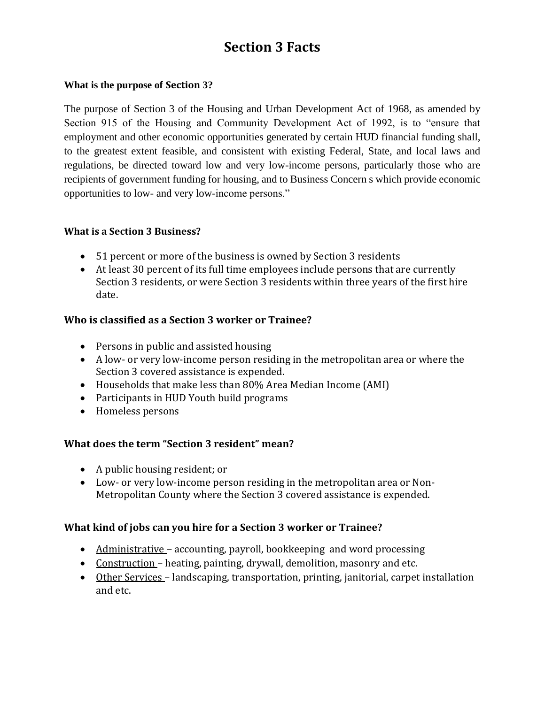# **Section 3 Facts**

#### **What is the purpose of Section 3?**

The purpose of Section 3 of the Housing and Urban Development Act of 1968, as amended by Section 915 of the Housing and Community Development Act of 1992, is to "ensure that employment and other economic opportunities generated by certain HUD financial funding shall, to the greatest extent feasible, and consistent with existing Federal, State, and local laws and regulations, be directed toward low and very low-income persons, particularly those who are recipients of government funding for housing, and to Business Concern s which provide economic opportunities to low- and very low-income persons."

#### **What is a Section 3 Business?**

- 51 percent or more of the business is owned by Section 3 residents
- At least 30 percent of its full time employees include persons that are currently Section 3 residents, or were Section 3 residents within three years of the first hire date.

# **Who is classified as a Section 3 worker or Trainee?**

- Persons in public and assisted housing
- A low- or very low-income person residing in the metropolitan area or where the Section 3 covered assistance is expended.
- Households that make less than 80% Area Median Income (AMI)
- Participants in HUD Youth build programs
- Homeless persons

## **What does the term "Section 3 resident" mean?**

- A public housing resident; or
- Low- or very low-income person residing in the metropolitan area or Non-Metropolitan County where the Section 3 covered assistance is expended.

## **What kind of jobs can you hire for a Section 3 worker or Trainee?**

- Administrative accounting, payroll, bookkeeping and word processing
- Construction heating, painting, drywall, demolition, masonry and etc.
- Other Services landscaping, transportation, printing, janitorial, carpet installation and etc.